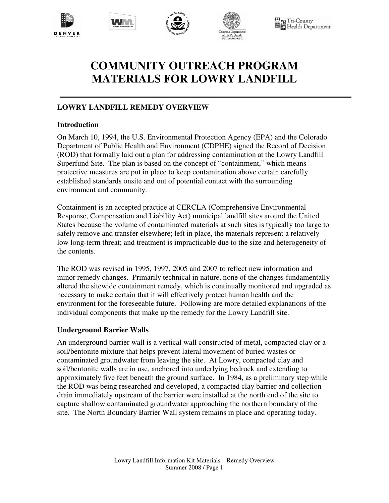







**T** Tri-County<br>T Health Department

# **COMMUNITY OUTREACH PROGRAM MATERIALS FOR LOWRY LANDFILL**

# **LOWRY LANDFILL REMEDY OVERVIEW**

## **Introduction**

On March 10, 1994, the U.S. Environmental Protection Agency (EPA) and the Colorado Department of Public Health and Environment (CDPHE) signed the Record of Decision (ROD) that formally laid out a plan for addressing contamination at the Lowry Landfill Superfund Site. The plan is based on the concept of "containment," which means protective measures are put in place to keep contamination above certain carefully established standards onsite and out of potential contact with the surrounding environment and community.

Containment is an accepted practice at CERCLA (Comprehensive Environmental Response, Compensation and Liability Act) municipal landfill sites around the United States because the volume of contaminated materials at such sites is typically too large to safely remove and transfer elsewhere; left in place, the materials represent a relatively low long-term threat; and treatment is impracticable due to the size and heterogeneity of the contents.

The ROD was revised in 1995, 1997, 2005 and 2007 to reflect new information and minor remedy changes. Primarily technical in nature, none of the changes fundamentally altered the sitewide containment remedy, which is continually monitored and upgraded as necessary to make certain that it will effectively protect human health and the environment for the foreseeable future. Following are more detailed explanations of the individual components that make up the remedy for the Lowry Landfill site.

## **Underground Barrier Walls**

An underground barrier wall is a vertical wall constructed of metal, compacted clay or a soil/bentonite mixture that helps prevent lateral movement of buried wastes or contaminated groundwater from leaving the site. At Lowry, compacted clay and soil/bentonite walls are in use, anchored into underlying bedrock and extending to approximately five feet beneath the ground surface. In 1984, as a preliminary step while the ROD was being researched and developed, a compacted clay barrier and collection drain immediately upstream of the barrier were installed at the north end of the site to capture shallow contaminated groundwater approaching the northern boundary of the site. The North Boundary Barrier Wall system remains in place and operating today.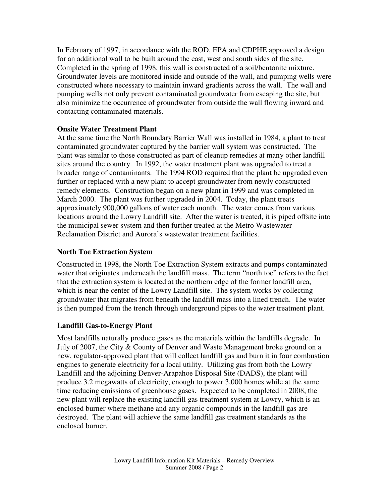In February of 1997, in accordance with the ROD, EPA and CDPHE approved a design for an additional wall to be built around the east, west and south sides of the site. Completed in the spring of 1998, this wall is constructed of a soil/bentonite mixture. Groundwater levels are monitored inside and outside of the wall, and pumping wells were constructed where necessary to maintain inward gradients across the wall. The wall and pumping wells not only prevent contaminated groundwater from escaping the site, but also minimize the occurrence of groundwater from outside the wall flowing inward and contacting contaminated materials.

#### **Onsite Water Treatment Plant**

At the same time the North Boundary Barrier Wall was installed in 1984, a plant to treat contaminated groundwater captured by the barrier wall system was constructed. The plant was similar to those constructed as part of cleanup remedies at many other landfill sites around the country. In 1992, the water treatment plant was upgraded to treat a broader range of contaminants. The 1994 ROD required that the plant be upgraded even further or replaced with a new plant to accept groundwater from newly constructed remedy elements. Construction began on a new plant in 1999 and was completed in March 2000. The plant was further upgraded in 2004. Today, the plant treats approximately 900,000 gallons of water each month. The water comes from various locations around the Lowry Landfill site. After the water is treated, it is piped offsite into the municipal sewer system and then further treated at the Metro Wastewater Reclamation District and Aurora's wastewater treatment facilities.

#### **North Toe Extraction System**

Constructed in 1998, the North Toe Extraction System extracts and pumps contaminated water that originates underneath the landfill mass. The term "north toe" refers to the fact that the extraction system is located at the northern edge of the former landfill area, which is near the center of the Lowry Landfill site. The system works by collecting groundwater that migrates from beneath the landfill mass into a lined trench. The water is then pumped from the trench through underground pipes to the water treatment plant.

## **Landfill Gas-to-Energy Plant**

Most landfills naturally produce gases as the materials within the landfills degrade. In July of 2007, the City & County of Denver and Waste Management broke ground on a new, regulator-approved plant that will collect landfill gas and burn it in four combustion engines to generate electricity for a local utility. Utilizing gas from both the Lowry Landfill and the adjoining Denver-Arapahoe Disposal Site (DADS), the plant will produce 3.2 megawatts of electricity, enough to power 3,000 homes while at the same time reducing emissions of greenhouse gases. Expected to be completed in 2008, the new plant will replace the existing landfill gas treatment system at Lowry, which is an enclosed burner where methane and any organic compounds in the landfill gas are destroyed. The plant will achieve the same landfill gas treatment standards as the enclosed burner.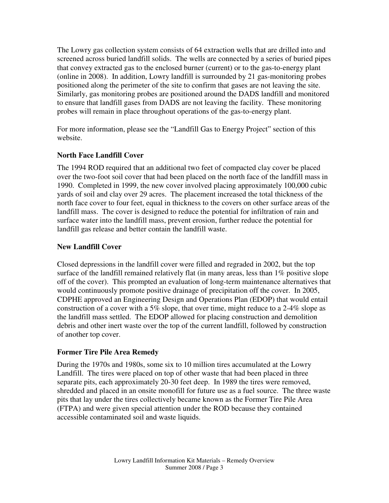The Lowry gas collection system consists of 64 extraction wells that are drilled into and screened across buried landfill solids. The wells are connected by a series of buried pipes that convey extracted gas to the enclosed burner (current) or to the gas-to-energy plant (online in 2008). In addition, Lowry landfill is surrounded by 21 gas-monitoring probes positioned along the perimeter of the site to confirm that gases are not leaving the site. Similarly, gas monitoring probes are positioned around the DADS landfill and monitored to ensure that landfill gases from DADS are not leaving the facility. These monitoring probes will remain in place throughout operations of the gas-to-energy plant.

For more information, please see the "Landfill Gas to Energy Project" section of this website.

## **North Face Landfill Cover**

The 1994 ROD required that an additional two feet of compacted clay cover be placed over the two-foot soil cover that had been placed on the north face of the landfill mass in 1990. Completed in 1999, the new cover involved placing approximately 100,000 cubic yards of soil and clay over 29 acres. The placement increased the total thickness of the north face cover to four feet, equal in thickness to the covers on other surface areas of the landfill mass. The cover is designed to reduce the potential for infiltration of rain and surface water into the landfill mass, prevent erosion, further reduce the potential for landfill gas release and better contain the landfill waste.

## **New Landfill Cover**

Closed depressions in the landfill cover were filled and regraded in 2002, but the top surface of the landfill remained relatively flat (in many areas, less than 1% positive slope off of the cover). This prompted an evaluation of long-term maintenance alternatives that would continuously promote positive drainage of precipitation off the cover. In 2005, CDPHE approved an Engineering Design and Operations Plan (EDOP) that would entail construction of a cover with a 5% slope, that over time, might reduce to a 2-4% slope as the landfill mass settled. The EDOP allowed for placing construction and demolition debris and other inert waste over the top of the current landfill, followed by construction of another top cover.

## **Former Tire Pile Area Remedy**

During the 1970s and 1980s, some six to 10 million tires accumulated at the Lowry Landfill. The tires were placed on top of other waste that had been placed in three separate pits, each approximately 20-30 feet deep. In 1989 the tires were removed, shredded and placed in an onsite monofill for future use as a fuel source. The three waste pits that lay under the tires collectively became known as the Former Tire Pile Area (FTPA) and were given special attention under the ROD because they contained accessible contaminated soil and waste liquids.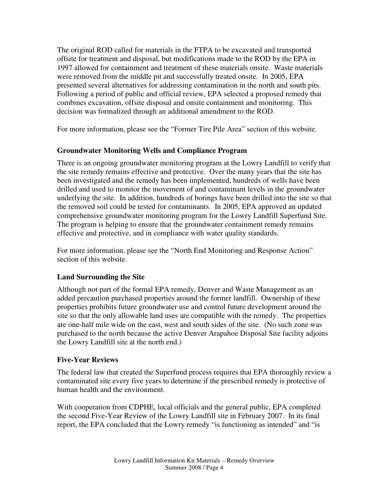The original ROD called for materials in the FTPA to be excavated and transported offsite for treatment and disposal, but modifications made to the ROD by the EPA in 1997 allowed for containment and treatment of these materials onsite. Waste materials were removed from the middle pit and successfully treated onsite. In 2005, EPA presented several alternatives for addressing contamination in the north and south pits. Following a period of public and official review, EPA selected a proposed remedy that combines excavation, offsite disposal and onsite containment and monitoring. This decision was formalized through an additional amendment to the ROD.

For more information, please see the "Former Tire Pile Area" section of this website.

## **Groundwater Monitoring Wells and Compliance Program**

There is an ongoing groundwater monitoring program at the Lowry Landfill to verify that the site remedy remains effective and protective. Over the many years that the site has been investigated and the remedy has been implemented, hundreds of wells have been drilled and used to monitor the movement of and contaminant levels in the groundwater underlying the site. In addition, hundreds of borings have been drilled into the site so that the removed soil could be tested for contaminants. In 2005, EPA approved an updated comprehensive groundwater monitoring program for the Lowry Landfill Superfund Site. The program is helping to ensure that the groundwater containment remedy remains effective and protective, and in compliance with water quality standards.

For more information, please see the "North End Monitoring and Response Action" section of this website.

## **Land Surrounding the Site**

Although not part of the formal EPA remedy, Denver and Waste Management as an added precaution purchased properties around the former landfill. Ownership of these properties prohibits future groundwater use and control future development around the site so that the only allowable land uses are compatible with the remedy. The properties are one-half mile wide on the east, west and south sides of the site. (No such zone was purchased to the north because the active Denver Arapahoe Disposal Site facility adjoins the Lowry Landfill site at the north end.)

## **Five-Year Reviews**

The federal law that created the Superfund process requires that EPA thoroughly review a contaminated site every five years to determine if the prescribed remedy is protective of human health and the environment.

With cooperation from CDPHE, local officials and the general public, EPA completed the second Five-Year Review of the Lowry Landfill site in February 2007. In its final report, the EPA concluded that the Lowry remedy "is functioning as intended" and "is